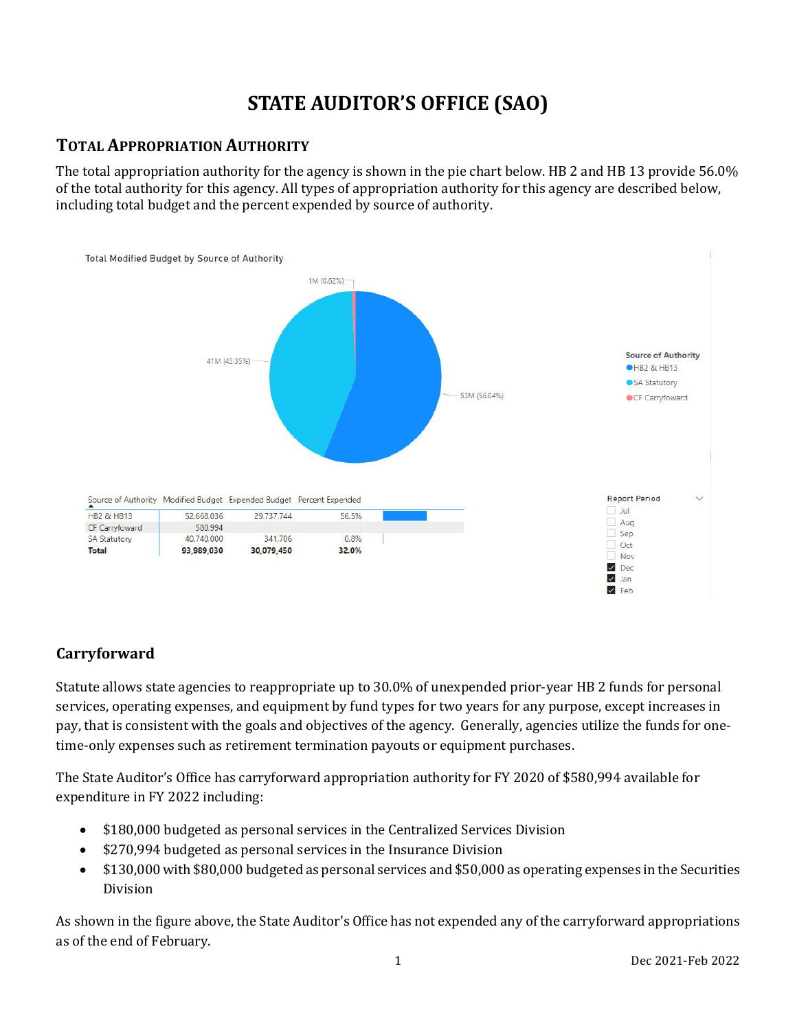# **STATE AUDITOR'S OFFICE (SAO)**

# **TOTAL APPROPRIATION AUTHORITY**

The total appropriation authority for the agency is shown in the pie chart below. HB 2 and HB 13 provide 56.0% of the total authority for this agency. All types of appropriation authority for this agency are described below, including total budget and the percent expended by source of authority.



# **Carryforward**

Statute allows state agencies to reappropriate up to 30.0% of unexpended prior-year HB 2 funds for personal services, operating expenses, and equipment by fund types for two years for any purpose, except increases in pay, that is consistent with the goals and objectives of the agency. Generally, agencies utilize the funds for onetime-only expenses such as retirement termination payouts or equipment purchases.

The State Auditor's Office has carryforward appropriation authority for FY 2020 of \$580,994 available for expenditure in FY 2022 including:

- \$180,000 budgeted as personal services in the Centralized Services Division
- \$270,994 budgeted as personal services in the Insurance Division
- \$130,000 with \$80,000 budgeted as personal services and \$50,000 as operating expenses in the Securities Division

As shown in the figure above, the State Auditor's Office has not expended any of the carryforward appropriations as of the end of February.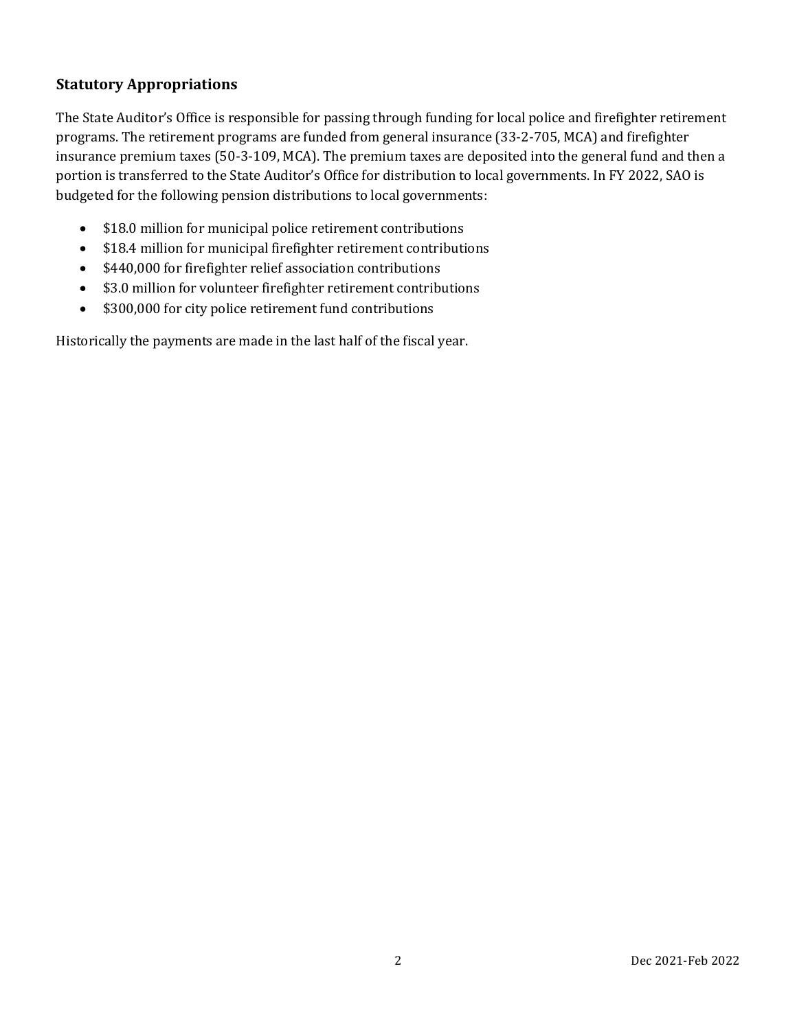### **Statutory Appropriations**

The State Auditor's Office is responsible for passing through funding for local police and firefighter retirement programs. The retirement programs are funded from general insurance (33-2-705, MCA) and firefighter insurance premium taxes (50-3-109, MCA). The premium taxes are deposited into the general fund and then a portion is transferred to the State Auditor's Office for distribution to local governments. In FY 2022, SAO is budgeted for the following pension distributions to local governments:

- \$18.0 million for municipal police retirement contributions
- \$18.4 million for municipal firefighter retirement contributions
- \$440,000 for firefighter relief association contributions
- \$3.0 million for volunteer firefighter retirement contributions
- \$300,000 for city police retirement fund contributions

Historically the payments are made in the last half of the fiscal year.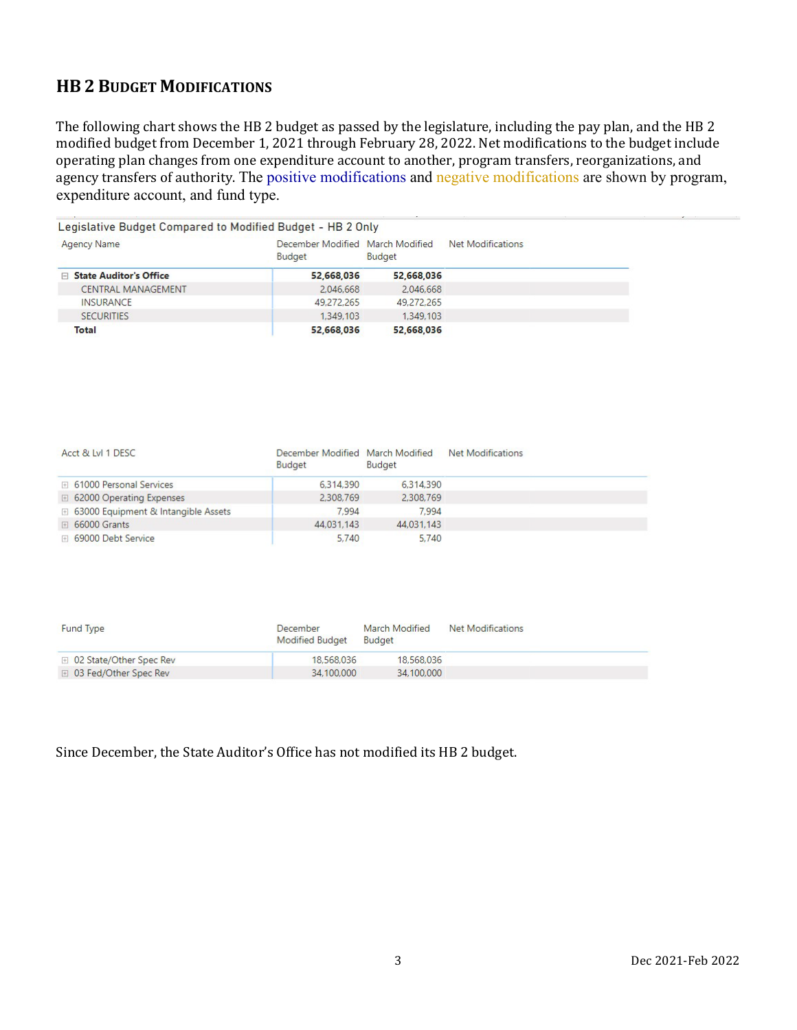# **HB 2 BUDGET MODIFICATIONS**

The following chart shows the HB 2 budget as passed by the legislature, including the pay plan, and the HB 2 modified budget from December 1, 2021 through February 28, 2022. Net modifications to the budget include operating plan changes from one expenditure account to another, program transfers, reorganizations, and agency transfers of authority. The positive modifications and negative modifications are shown by program, expenditure account, and fund type.

| Legislative Budget Compared to Modified Budget - HB 2 Only |                                                   |            |                   |  |  |  |
|------------------------------------------------------------|---------------------------------------------------|------------|-------------------|--|--|--|
| <b>Agency Name</b>                                         | December Modified March Modified<br><b>Budget</b> | Budget     | Net Modifications |  |  |  |
| □ State Auditor's Office                                   | 52,668,036                                        | 52,668,036 |                   |  |  |  |
| <b>CENTRAL MANAGEMENT</b>                                  | 2,046,668                                         | 2.046.668  |                   |  |  |  |
| INSURANCE                                                  | 49,272,265                                        | 49,272,265 |                   |  |  |  |
| <b>SECURITIES</b>                                          | 1.349.103                                         | 1,349,103  |                   |  |  |  |
| Total                                                      | 52,668,036                                        | 52,668,036 |                   |  |  |  |

| Acct & Lyl 1 DESC                     | December Modified March Modified<br>Budget | Budget     | Net Modifications |
|---------------------------------------|--------------------------------------------|------------|-------------------|
| <b>E</b> 61000 Personal Services      | 6,314,390                                  | 6,314,390  |                   |
| □ 62000 Operating Expenses            | 2,308,769                                  | 2,308,769  |                   |
| □ 63000 Equipment & Intangible Assets | 7.994                                      | 7.994      |                   |
| <b>El 66000 Grants</b>                | 44.031.143                                 | 44.031.143 |                   |
| ⊞ 69000 Debt Service                  | 5.740                                      | 5.740      |                   |

| <b>Fund Type</b>          | December<br><b>Modified Budget</b> | March Modified<br><b>Budget</b> | Net Modifications |
|---------------------------|------------------------------------|---------------------------------|-------------------|
| □ 02 State/Other Spec Rev | 18.568.036                         | 18.568.036                      |                   |
| ⊞ 03 Fed/Other Spec Rev   | 34.100.000                         | 34,100,000                      |                   |

Since December, the State Auditor's Office has not modified its HB 2 budget.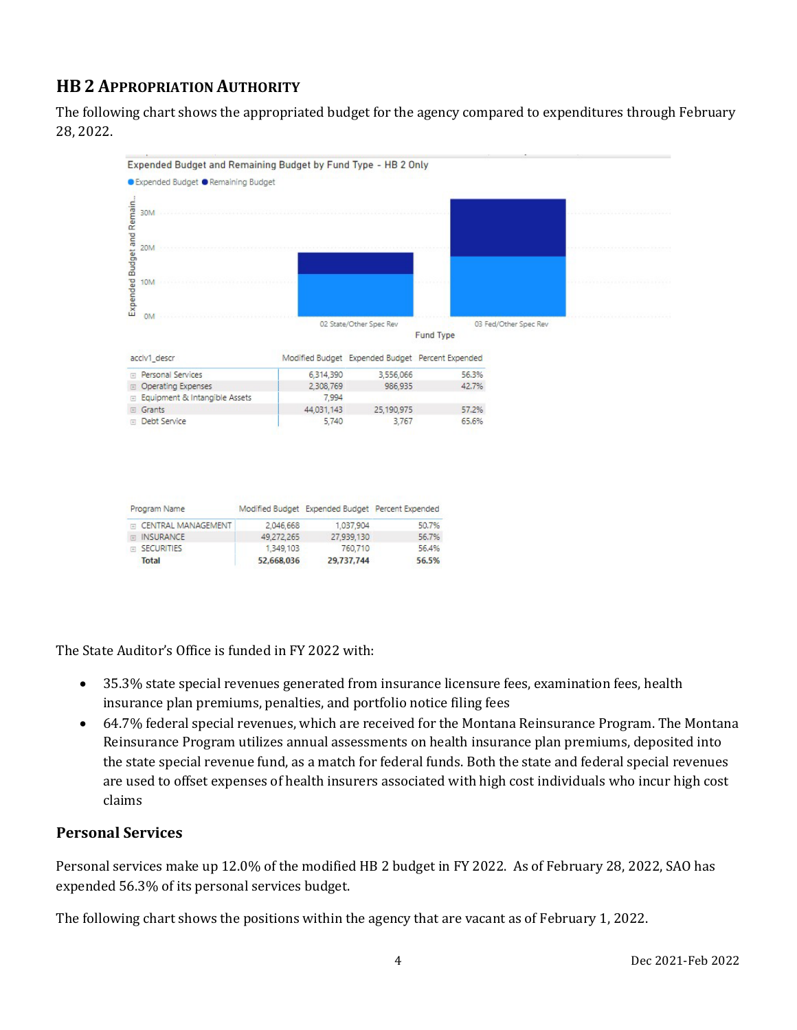# **HB 2 APPROPRIATION AUTHORITY**

The following chart shows the appropriated budget for the agency compared to expenditures through February 28, 2022.



|  | Program Name         |            | Modified Budget Expended Budget Percent Expended |       |
|--|----------------------|------------|--------------------------------------------------|-------|
|  | E CENTRAL MANAGEMENT | 2.046.668  | 1.037.904                                        | 50.7% |
|  | <b>FE INSURANCE</b>  | 49.272.265 | 27,939,130                                       | 56.7% |
|  | <b>SECURITIES</b>    | 1,349,103  | 760.710                                          | 56,4% |
|  | <b>Total</b>         | 52.668.036 | 29,737,744                                       | 56.5% |

The State Auditor's Office is funded in FY 2022 with:

- 35.3% state special revenues generated from insurance licensure fees, examination fees, health insurance plan premiums, penalties, and portfolio notice filing fees
- 64.7% federal special revenues, which are received for the Montana Reinsurance Program. The Montana Reinsurance Program utilizes annual assessments on health insurance plan premiums, deposited into the state special revenue fund, as a match for federal funds. Both the state and federal special revenues are used to offset expenses of health insurers associated with high cost individuals who incur high cost claims

# **Personal Services**

Personal services make up 12.0% of the modified HB 2 budget in FY 2022. As of February 28, 2022, SAO has expended 56.3% of its personal services budget.

The following chart shows the positions within the agency that are vacant as of February 1, 2022.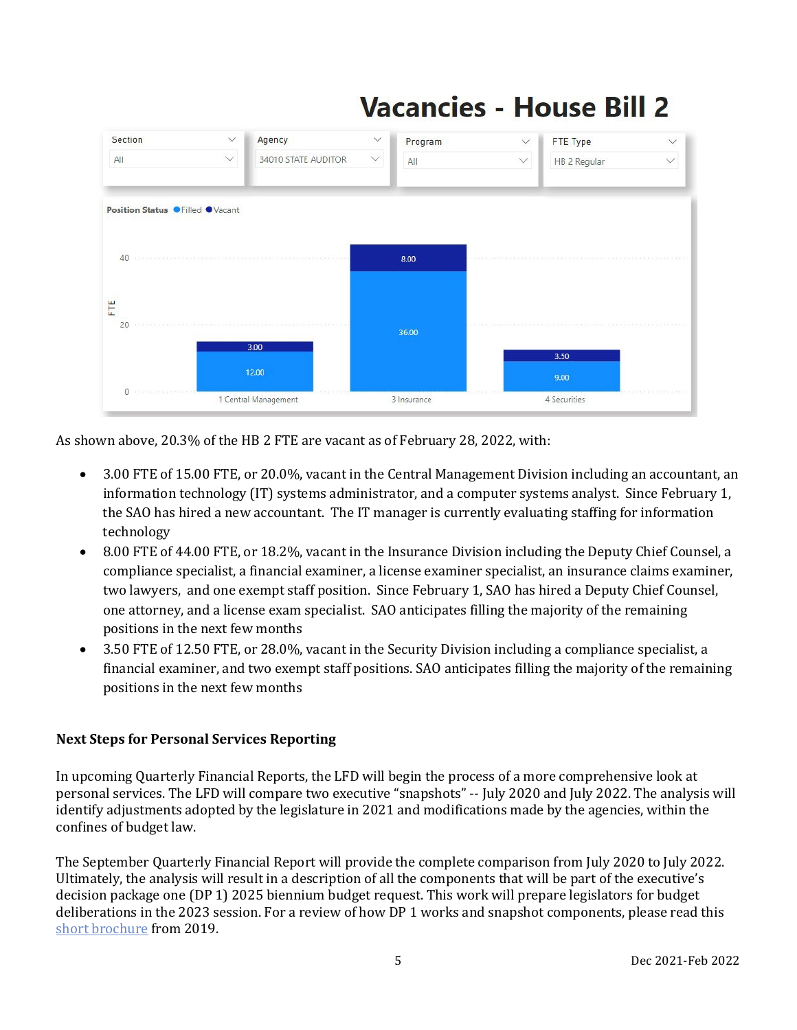# **Vacancies - House Bill 2**



As shown above, 20.3% of the HB 2 FTE are vacant as of February 28, 2022, with:

- 3.00 FTE of 15.00 FTE, or 20.0%, vacant in the Central Management Division including an accountant, an information technology (IT) systems administrator, and a computer systems analyst. Since February 1, the SAO has hired a new accountant. The IT manager is currently evaluating staffing for information technology
- 8.00 FTE of 44.00 FTE, or 18.2%, vacant in the Insurance Division including the Deputy Chief Counsel, a compliance specialist, a financial examiner, a license examiner specialist, an insurance claims examiner, two lawyers, and one exempt staff position. Since February 1, SAO has hired a Deputy Chief Counsel, one attorney, and a license exam specialist. SAO anticipates filling the majority of the remaining positions in the next few months
- 3.50 FTE of 12.50 FTE, or 28.0%, vacant in the Security Division including a compliance specialist, a financial examiner, and two exempt staff positions. SAO anticipates filling the majority of the remaining positions in the next few months

### **Next Steps for Personal Services Reporting**

In upcoming Quarterly Financial Reports, the LFD will begin the process of a more comprehensive look at personal services. The LFD will compare two executive "snapshots" -- July 2020 and July 2022. The analysis will identify adjustments adopted by the legislature in 2021 and modifications made by the agencies, within the confines of budget law.

The September Quarterly Financial Report will provide the complete comparison from July 2020 to July 2022. Ultimately, the analysis will result in a description of all the components that will be part of the executive's decision package one (DP 1) 2025 biennium budget request. This work will prepare legislators for budget deliberations in the 2023 session. For a review of how DP 1 works and snapshot components, please read this [short brochure](https://montana.maps.arcgis.com/apps/Cascade/index.html?appid=23095fcf15754f4fb38b63c58a884b97) from 2019.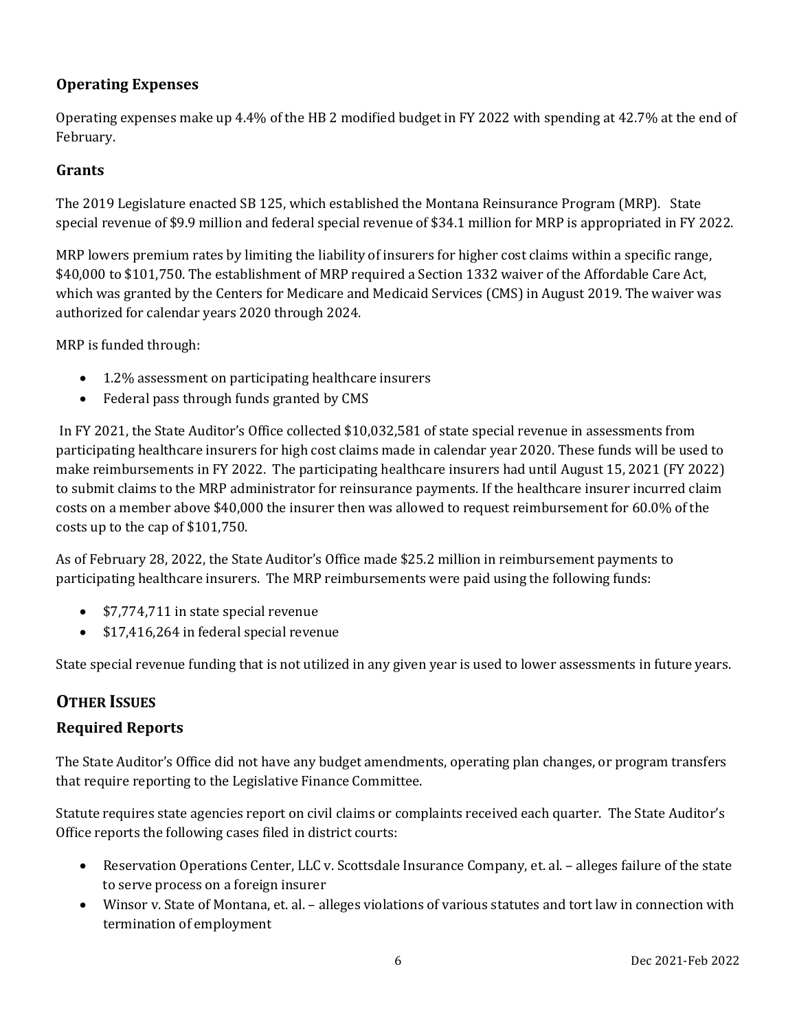# **Operating Expenses**

Operating expenses make up 4.4% of the HB 2 modified budget in FY 2022 with spending at 42.7% at the end of February.

### **Grants**

The 2019 Legislature enacted SB 125, which established the Montana Reinsurance Program (MRP). State special revenue of \$9.9 million and federal special revenue of \$34.1 million for MRP is appropriated in FY 2022.

MRP lowers premium rates by limiting the liability of insurers for higher cost claims within a specific range, \$40,000 to \$101,750. The establishment of MRP required a Section 1332 waiver of the Affordable Care Act, which was granted by the Centers for Medicare and Medicaid Services (CMS) in August 2019. The waiver was authorized for calendar years 2020 through 2024.

MRP is funded through:

- 1.2% assessment on participating healthcare insurers
- Federal pass through funds granted by CMS

In FY 2021, the State Auditor's Office collected \$10,032,581 of state special revenue in assessments from participating healthcare insurers for high cost claims made in calendar year 2020. These funds will be used to make reimbursements in FY 2022. The participating healthcare insurers had until August 15, 2021 (FY 2022) to submit claims to the MRP administrator for reinsurance payments. If the healthcare insurer incurred claim costs on a member above \$40,000 the insurer then was allowed to request reimbursement for 60.0% of the costs up to the cap of \$101,750.

As of February 28, 2022, the State Auditor's Office made \$25.2 million in reimbursement payments to participating healthcare insurers. The MRP reimbursements were paid using the following funds:

- \$7,774,711 in state special revenue
- \$17,416,264 in federal special revenue

State special revenue funding that is not utilized in any given year is used to lower assessments in future years.

# **OTHER ISSUES**

### **Required Reports**

The State Auditor's Office did not have any budget amendments, operating plan changes, or program transfers that require reporting to the Legislative Finance Committee.

Statute requires state agencies report on civil claims or complaints received each quarter. The State Auditor's Office reports the following cases filed in district courts:

- Reservation Operations Center, LLC v. Scottsdale Insurance Company, et. al. alleges failure of the state to serve process on a foreign insurer
- Winsor v. State of Montana, et. al. alleges violations of various statutes and tort law in connection with termination of employment